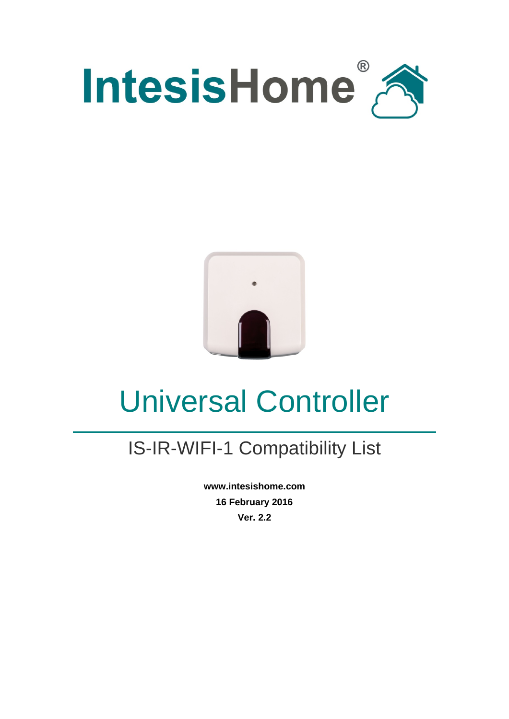



# Universal Controller

### IS-IR-WIFI-1 Compatibility List

**www.intesishome.com 16 February 2016 Ver. 2.2**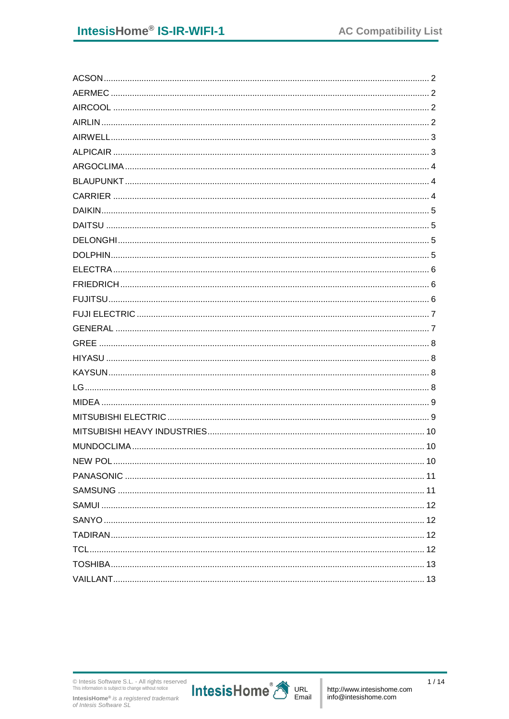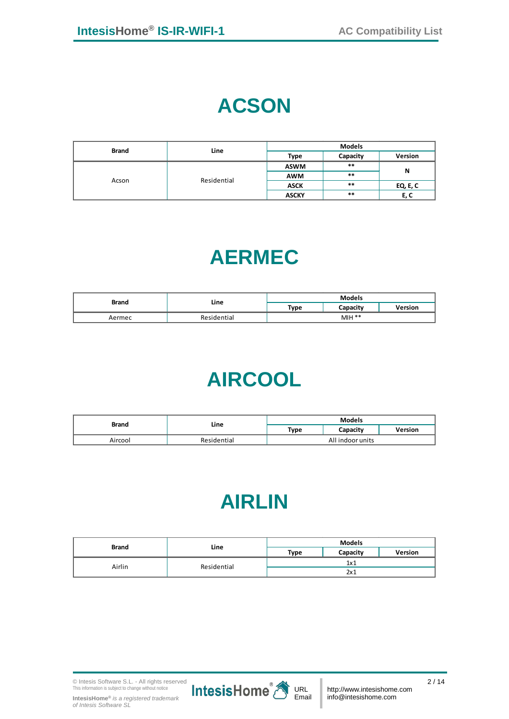## **ACSON**

<span id="page-2-0"></span>

| <b>Brand</b> | Line        | <b>Models</b> |          |          |
|--------------|-------------|---------------|----------|----------|
|              |             | Type          | Capacity | Version  |
| Acson        | Residential | <b>ASWM</b>   | $***$    |          |
|              |             | <b>AWM</b>    | $***$    | N        |
|              |             | <b>ASCK</b>   | $***$    | EQ, E, C |
|              |             | <b>ASCKY</b>  | $***$    | E, C     |

## **AERMEC**

<span id="page-2-2"></span><span id="page-2-1"></span>

| <b>Brand</b> | Line        | <b>Models</b> |          |                |
|--------------|-------------|---------------|----------|----------------|
|              |             | Type          | Capacity | <b>Version</b> |
| Aermec       | Residential | $MH **$       |          |                |

## **AIRCOOL**

<span id="page-2-3"></span>

| <b>Brand</b> | Line        | <b>Models</b>    |          |         |
|--------------|-------------|------------------|----------|---------|
|              |             | Type             | Capacity | Version |
| Aircool      | Residential | All indoor units |          |         |

## **AIRLIN**

| <b>Brand</b> | Line        | <b>Models</b> |          |                |
|--------------|-------------|---------------|----------|----------------|
|              |             | Type          | Capacity | <b>Version</b> |
| Airlin       | Residential | 1x1           |          |                |
|              |             |               | 2x1      |                |

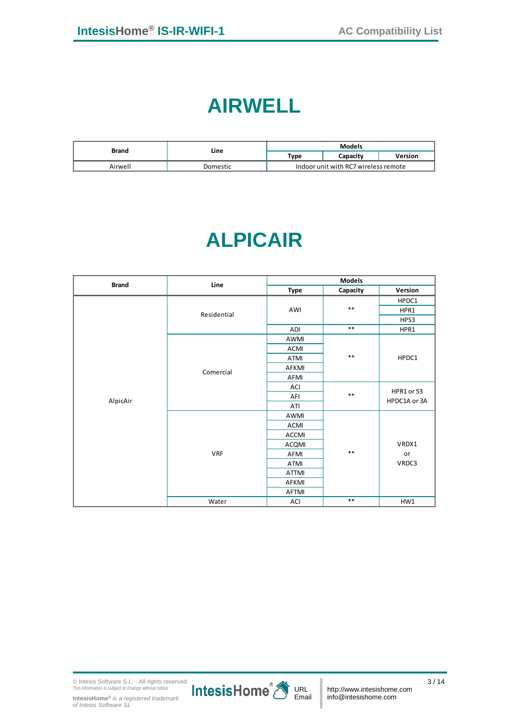#### **AIRWELL**

<span id="page-3-0"></span>

| <b>Brand</b> | Line     | <b>Models</b>                        |          |         |
|--------------|----------|--------------------------------------|----------|---------|
|              |          | Type                                 | Capacity | Version |
| Airwell      | Domestic | Indoor unit with RC7 wireless remote |          |         |

## **ALPICAIR**

<span id="page-3-1"></span>

| <b>Brand</b> | Line        |              | <b>Models</b> |              |
|--------------|-------------|--------------|---------------|--------------|
|              |             | <b>Type</b>  | Capacity      | Version      |
|              |             |              |               | HPDC1        |
|              | Residential | AWI          | $***$         | HPR1         |
|              |             |              |               | HPS3         |
|              |             | ADI          | $***$         | HPR1         |
|              |             | AWMI         |               |              |
|              |             | <b>ACMI</b>  |               |              |
|              | Comercial   | ATMI         | $***$         | HPDC1        |
|              |             | AFKMI        |               |              |
|              |             | AFMI         |               |              |
|              |             | ACI          | $***$         | HPR1 or S3   |
| AlpicAir     |             | AFI          |               | HPDC1A or 3A |
|              |             | ATI          |               |              |
|              |             | AWMI         |               |              |
|              |             | <b>ACMI</b>  |               |              |
|              |             | <b>ACCMI</b> |               |              |
|              |             | <b>ACQMI</b> |               | VRDX1        |
|              | <b>VRF</b>  | AFMI         | $***$         | or           |
|              |             | ATMI         |               | VRDC3        |
|              |             | <b>ATTMI</b> |               |              |
|              |             | AFKMI        |               |              |
|              |             | AFTMI        |               |              |
|              | Water       | ACI          | $***$         | HW1          |

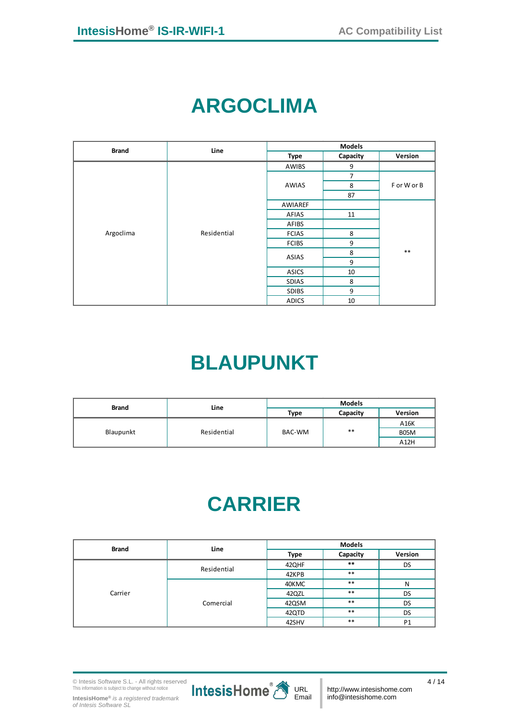# **ARGOCLIMA**

<span id="page-4-0"></span>

| <b>Brand</b> | Line        |              | <b>Models</b>  |             |
|--------------|-------------|--------------|----------------|-------------|
|              |             | Type         | Capacity       | Version     |
|              |             | AWIBS        | 9              |             |
|              |             |              | $\overline{7}$ |             |
|              |             | AWIAS        | 8              | F or W or B |
|              |             |              | 87             |             |
|              | Residential | AWIAREF      |                |             |
|              |             | AFIAS        | 11             |             |
|              |             | AFIBS        |                |             |
| Argoclima    |             | <b>FCIAS</b> | 8              |             |
|              |             | <b>FCIBS</b> | 9              |             |
|              |             | ASIAS        | 8              | $***$       |
|              |             |              | 9              |             |
|              |             | <b>ASICS</b> | 10             |             |
|              |             | <b>SDIAS</b> | 8              |             |
|              |             | <b>SDIBS</b> | 9              |             |
|              |             | <b>ADICS</b> | 10             |             |

# **BLAUPUNKT**

<span id="page-4-1"></span>

| <b>Brand</b> | Line        | <b>Models</b> |          |                |
|--------------|-------------|---------------|----------|----------------|
|              |             | Type          | Capacity | <b>Version</b> |
| Blaupunkt    | Residential | BAC-WM        | $***$    | A16K           |
|              |             |               |          | B05M           |
|              |             |               |          | A12H           |

## **CARRIER**

<span id="page-4-2"></span>

| <b>Brand</b> | Line        | <b>Models</b> |          |                |
|--------------|-------------|---------------|----------|----------------|
|              |             | Type          | Capacity | Version        |
|              | Residential | 42QHF         | $***$    | DS             |
|              |             | 42KPB         | $***$    |                |
|              | Comercial   | 40KMC         | $***$    | N              |
| Carrier      |             | 42QZL         | $***$    | DS             |
|              |             | 42QSM         | $***$    | DS             |
|              |             | 42QTD         | $***$    | DS             |
|              |             | 42SHV         | $***$    | P <sub>1</sub> |

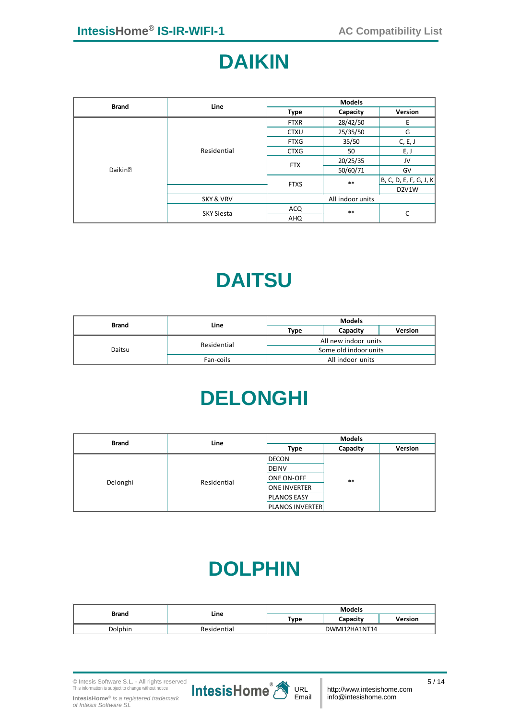#### **DAIKIN**

<span id="page-5-0"></span>

| <b>Brand</b> | Line                 |             | <b>Models</b>    |                                 |
|--------------|----------------------|-------------|------------------|---------------------------------|
|              |                      | Type        | Capacity         | Version                         |
|              |                      | <b>FTXR</b> | 28/42/50         | E                               |
|              |                      | <b>CTXU</b> | 25/35/50         | G                               |
|              | Residential          | <b>FTXG</b> | 35/50            | C, E, J                         |
|              |                      | <b>CTXG</b> | 50               | E, J                            |
|              |                      | <b>FTX</b>  | 20/25/35         | JV                              |
| Daikin?      |                      |             | 50/60/71         | GV                              |
|              |                      | <b>FTXS</b> | $***$            | B, C, D, E, F, G, J, K          |
|              |                      |             |                  | D <sub>2</sub> V <sub>1</sub> W |
|              | <b>SKY &amp; VRV</b> |             | All indoor units |                                 |
|              |                      | ACQ         | $***$            | C                               |
|              | <b>SKY Siesta</b>    | AHQ         |                  |                                 |

## **DAITSU**

<span id="page-5-2"></span><span id="page-5-1"></span>

| <b>Brand</b> | Line        | <b>Models</b>        |                       |         |
|--------------|-------------|----------------------|-----------------------|---------|
|              |             | Type                 | Capacity              | Version |
| Daitsu       | Residential | All new indoor units |                       |         |
|              |             |                      | Some old indoor units |         |
|              | Fan-coils   | All indoor units     |                       |         |

## **DELONGHI**

| <b>Brand</b> | Line        | <b>Models</b>          |          |         |
|--------------|-------------|------------------------|----------|---------|
|              |             | Type                   | Capacity | Version |
|              |             | <b>DECON</b>           |          |         |
| Delonghi     |             | <b>DEINV</b>           |          |         |
|              | Residential | <b>ONE ON-OFF</b>      | $***$    |         |
|              |             | <b>ONE INVERTER</b>    |          |         |
|              |             | <b>PLANOS EASY</b>     |          |         |
|              |             | <b>PLANOS INVERTER</b> |          |         |

### **DOLPHIN**

<span id="page-5-3"></span>

| <b>Brand</b> | Line        | <b>Models</b> |          |         |
|--------------|-------------|---------------|----------|---------|
|              |             | Type          | Capacity | Version |
| Dolphin      | Residential | DWMI12HA1NT14 |          |         |

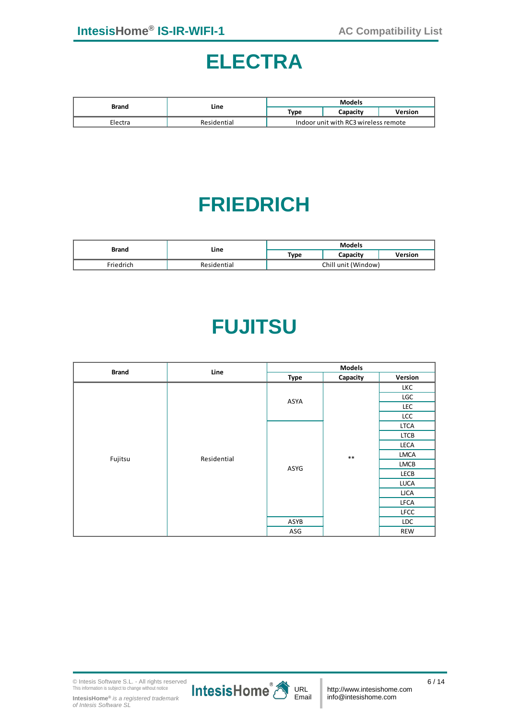#### **ELECTRA**

<span id="page-6-0"></span>

| Brand   | Line        | <b>Models</b>                        |          |         |
|---------|-------------|--------------------------------------|----------|---------|
|         |             | Type                                 | Capacity | Version |
| Electra | Residential | Indoor unit with RC3 wireless remote |          |         |

## **FRIEDRICH**

<span id="page-6-2"></span><span id="page-6-1"></span>

| Brand     | Line        | <b>Models</b>       |          |         |
|-----------|-------------|---------------------|----------|---------|
|           |             | Type                | Capacity | Version |
| Friedrich | Residential | Chill unit (Window) |          |         |

## **FUJITSU**

| <b>Brand</b> | Line        |               | <b>Models</b> |             |
|--------------|-------------|---------------|---------------|-------------|
|              |             | <b>Type</b>   | Capacity      | Version     |
|              |             |               |               | LKC         |
|              |             | ASYA          |               | <b>LGC</b>  |
|              |             |               |               | LEC         |
|              |             |               |               | LCC         |
|              |             |               |               | LTCA        |
|              |             |               |               | <b>LTCB</b> |
|              |             | $***$<br>ASYG |               | LECA        |
| Fujitsu      | Residential |               | <b>LMCA</b>   |             |
|              |             |               | LMCB          |             |
|              |             |               | LECB          |             |
|              |             |               |               | <b>LUCA</b> |
|              |             |               |               | <b>LICA</b> |
|              |             |               |               | LFCA        |
|              |             |               |               | <b>LFCC</b> |
|              |             | ASYB          |               | <b>LDC</b>  |
|              |             | ASG           |               | REW         |

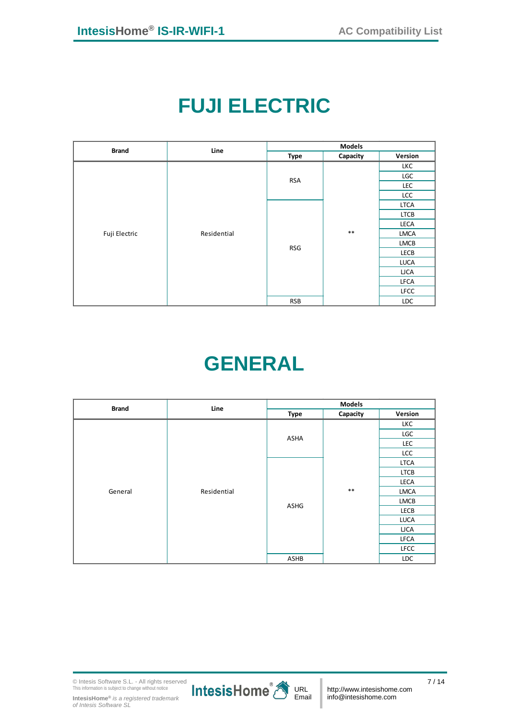# **FUJI ELECTRIC**

<span id="page-7-0"></span>

| <b>Brand</b>  | Line        |                                            | <b>Models</b> |             |
|---------------|-------------|--------------------------------------------|---------------|-------------|
|               |             | <b>Type</b>                                | Capacity      | Version     |
|               |             |                                            |               | LKC         |
|               |             | <b>RSA</b>                                 |               | LGC         |
|               |             |                                            |               | <b>LEC</b>  |
|               |             |                                            |               | LCC         |
|               |             |                                            | $***$         | <b>LTCA</b> |
|               |             |                                            |               | LTCB        |
|               |             | LECA<br>LMCA<br>LMCB<br><b>RSG</b><br>LECB |               |             |
| Fuji Electric | Residential |                                            |               |             |
|               |             |                                            |               |             |
|               |             |                                            |               |             |
|               |             |                                            |               | <b>LUCA</b> |
|               |             |                                            |               | <b>LJCA</b> |
|               |             |                                            |               | LFCA        |
|               |             |                                            |               | <b>LFCC</b> |
|               |             | <b>RSB</b>                                 |               | <b>LDC</b>  |

# **GENERAL**

<span id="page-7-1"></span>

| <b>Brand</b> | Line        |                             | <b>Models</b> |             |
|--------------|-------------|-----------------------------|---------------|-------------|
|              |             | <b>Type</b>                 | Capacity      | Version     |
|              |             |                             |               | LKC         |
|              |             | ASHA                        |               | LGC         |
|              |             |                             |               | <b>LEC</b>  |
|              |             |                             | $***$         | <b>LCC</b>  |
|              |             |                             |               | <b>LTCA</b> |
|              |             |                             |               | <b>LTCB</b> |
|              |             | LECA<br>ASHG<br><b>LECB</b> |               |             |
| General      | Residential |                             | LMCA          |             |
|              |             |                             |               | LMCB        |
|              |             |                             |               |             |
|              |             |                             |               | <b>LUCA</b> |
|              |             |                             |               | <b>LJCA</b> |
|              |             |                             |               | LFCA        |
|              |             |                             |               | <b>LFCC</b> |
|              |             | ASHB                        |               | LDC         |

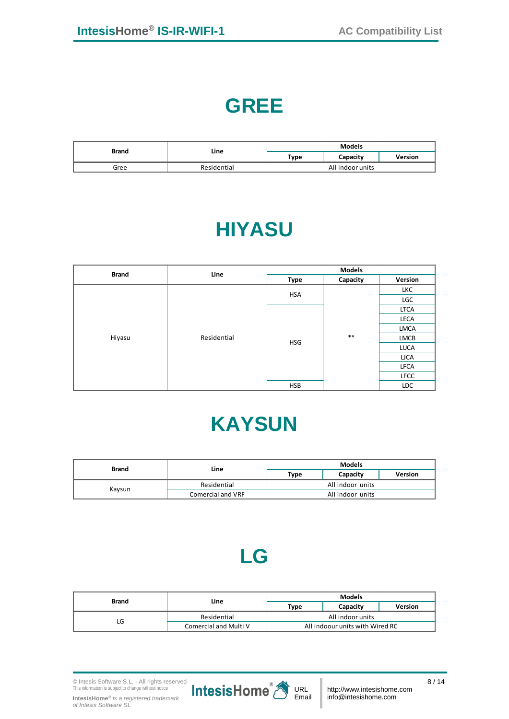### **GREE**

<span id="page-8-1"></span><span id="page-8-0"></span>

| <b>Brand</b> | Line        | <b>Models</b>    |          |                |
|--------------|-------------|------------------|----------|----------------|
|              |             | Type             | Capacitv | <b>Version</b> |
| Gree         | Residential | All indoor units |          |                |

# **HIYASU**

| <b>Brand</b> | Line        |      | <b>Models</b>                     |             |      |
|--------------|-------------|------|-----------------------------------|-------------|------|
|              |             | Type | Capacity                          | Version     |      |
|              |             |      |                                   | LKC         |      |
|              |             |      | LGC                               |             |      |
|              |             |      |                                   | <b>LTCA</b> |      |
| Hiyasu       |             |      | <b>HSA</b><br>$***$<br><b>HSG</b> |             | LECA |
|              |             |      | LMCA                              |             |      |
|              | Residential |      | LMCB                              |             |      |
|              |             |      |                                   | <b>LUCA</b> |      |
|              |             |      |                                   | <b>LJCA</b> |      |
|              |             |      |                                   | <b>LFCA</b> |      |
|              |             |      |                                   | <b>LFCC</b> |      |
|              |             | HSB  |                                   | LDC         |      |

## **KAYSUN**

<span id="page-8-3"></span><span id="page-8-2"></span>

| <b>Brand</b> | Line              | <b>Models</b>    |          |         |
|--------------|-------------------|------------------|----------|---------|
|              |                   | Type             | Capacity | Version |
|              | Residential       | All indoor units |          |         |
| Kaysun       | Comercial and VRF | All indoor units |          |         |

### **LG**

| Brand | Line                  |                                 | <b>Models</b> |         |  |
|-------|-----------------------|---------------------------------|---------------|---------|--|
|       |                       | Type                            | Capacity      | Version |  |
| LG    | Residential           | All indoor units                |               |         |  |
|       | Comercial and Multi V | All indoour units with Wired RC |               |         |  |

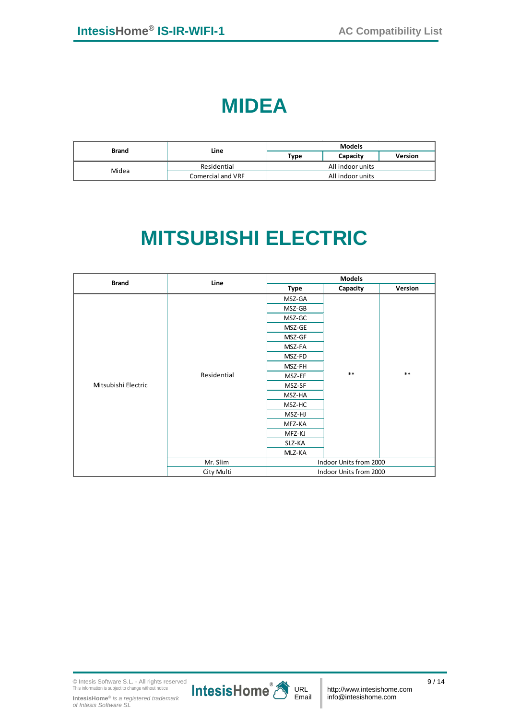#### **MIDEA**

<span id="page-9-1"></span><span id="page-9-0"></span>

| <b>Brand</b> | Line              | <b>Models</b>    |          |                |
|--------------|-------------------|------------------|----------|----------------|
|              |                   | Type             | Capacity | <b>Version</b> |
| Midea        | Residential       | All indoor units |          |                |
|              | Comercial and VRF | All indoor units |          |                |

# **MITSUBISHI ELECTRIC**

| <b>Brand</b>        | Line                                                                                                                               |                        | <b>Models</b>          |         |  |
|---------------------|------------------------------------------------------------------------------------------------------------------------------------|------------------------|------------------------|---------|--|
|                     |                                                                                                                                    | <b>Type</b>            | Capacity               | Version |  |
|                     |                                                                                                                                    | MSZ-GA                 |                        |         |  |
|                     |                                                                                                                                    | MSZ-GB                 |                        |         |  |
|                     | MSZ-GC<br>MSZ-GE<br>MSZ-GF<br>MSZ-FA<br>MSZ-FD<br>MSZ-FH<br>$***$<br>Residential<br>MSZ-EF<br>MSZ-SF<br>MSZ-HA<br>MSZ-HC<br>MSZ-HJ |                        |                        |         |  |
|                     |                                                                                                                                    |                        |                        | $***$   |  |
|                     |                                                                                                                                    |                        |                        |         |  |
|                     |                                                                                                                                    |                        |                        |         |  |
|                     |                                                                                                                                    |                        |                        |         |  |
|                     |                                                                                                                                    |                        |                        |         |  |
|                     |                                                                                                                                    |                        |                        |         |  |
| Mitsubishi Electric |                                                                                                                                    |                        |                        |         |  |
|                     |                                                                                                                                    |                        |                        |         |  |
|                     |                                                                                                                                    |                        |                        |         |  |
|                     |                                                                                                                                    |                        |                        |         |  |
|                     |                                                                                                                                    | MFZ-KA                 |                        |         |  |
|                     |                                                                                                                                    | MFZ-KJ                 |                        |         |  |
|                     |                                                                                                                                    | SLZ-KA                 |                        |         |  |
|                     |                                                                                                                                    | MLZ-KA                 |                        |         |  |
|                     | Mr. Slim                                                                                                                           | Indoor Units from 2000 |                        |         |  |
|                     | City Multi                                                                                                                         |                        | Indoor Units from 2000 |         |  |

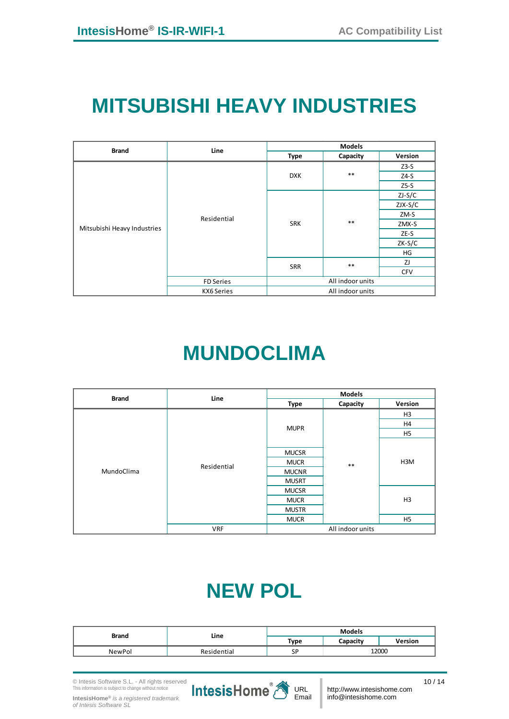## <span id="page-10-0"></span>**MITSUBISHI HEAVY INDUSTRIES**

| <b>Brand</b>                | Line             |                     | <b>Models</b>    |            |
|-----------------------------|------------------|---------------------|------------------|------------|
|                             |                  | Type                | Capacity         | Version    |
|                             |                  |                     |                  | $Z3-S$     |
|                             |                  | <b>DXK</b>          | $***$            | $Z4-S$     |
|                             |                  |                     |                  | $Z5-S$     |
|                             |                  |                     |                  | $ZJ-S/C$   |
|                             |                  | $***$<br><b>SRK</b> | $ZJX-S/C$        |            |
|                             | Residential      |                     | ZM-S             |            |
| Mitsubishi Heavy Industries |                  |                     | ZMX-S            |            |
|                             |                  |                     | ZE-S             |            |
|                             |                  |                     |                  | $ZK-S/C$   |
|                             |                  |                     | HG               |            |
|                             |                  |                     | $***$            | ZJ         |
|                             |                  | SRR                 |                  | <b>CFV</b> |
|                             | <b>FD Series</b> | All indoor units    |                  |            |
|                             | KX6 Series       |                     | All indoor units |            |

## **MUNDOCLIMA**

<span id="page-10-1"></span>

| <b>Brand</b> | Line        |              | <b>Models</b>    |                |
|--------------|-------------|--------------|------------------|----------------|
|              |             | Type         | Capacity         | Version        |
|              |             |              |                  | H <sub>3</sub> |
|              |             | <b>MUPR</b>  |                  | H4             |
|              |             |              |                  | H <sub>5</sub> |
|              |             | <b>MUCSR</b> |                  |                |
|              |             |              |                  |                |
|              | Residential | <b>MUCR</b>  | $***$            | H3M            |
| MundoClima   |             | <b>MUCNR</b> |                  |                |
|              |             | <b>MUSRT</b> |                  |                |
|              |             | <b>MUCSR</b> |                  |                |
|              |             | <b>MUCR</b>  |                  | H <sub>3</sub> |
|              |             | <b>MUSTR</b> |                  |                |
|              |             | <b>MUCR</b>  |                  | H <sub>5</sub> |
|              | <b>VRF</b>  |              | All indoor units |                |

## **NEW POL**

<span id="page-10-2"></span>

| <b>Brand</b> | Line        | <b>Models</b>    |         |  |
|--------------|-------------|------------------|---------|--|
|              |             | Type<br>Capacity | Version |  |
| NewPol       | Residential | SP               | 12000   |  |

**IntesisHome®** *is a registered trademark of Intesis Software SL*

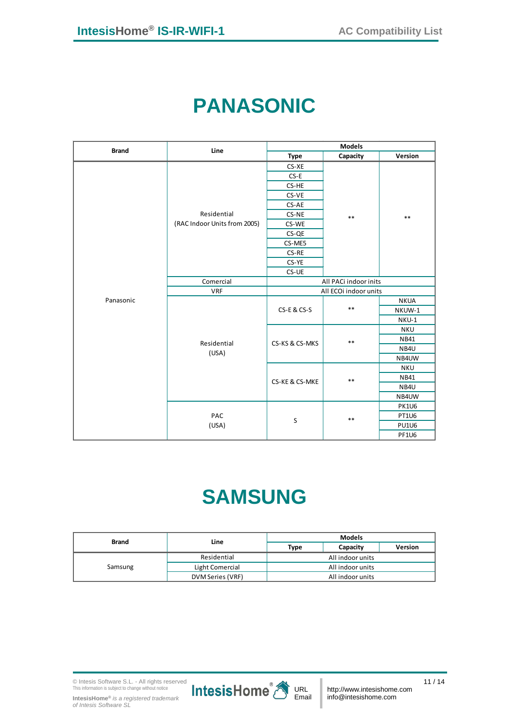## **PANASONIC**

<span id="page-11-0"></span>

| <b>Brand</b> | Line                         | <b>Models</b>         |          |              |
|--------------|------------------------------|-----------------------|----------|--------------|
|              |                              | <b>Type</b>           | Capacity | Version      |
|              |                              | CS-XE                 |          |              |
|              |                              | $CS-E$                |          |              |
|              |                              | CS-HE                 |          |              |
|              |                              | CS-VE                 |          |              |
|              |                              | CS-AE                 |          |              |
|              | Residential                  | CS-NE                 | $***$    | $***$        |
|              | (RAC Indoor Units from 2005) | CS-WE                 |          |              |
|              |                              | CS-QE                 |          |              |
|              |                              | CS-ME5                |          |              |
|              |                              | CS-RE                 |          |              |
|              |                              | CS-YE                 |          |              |
|              |                              | CS-UE                 |          |              |
|              | Comercial                    | All PACi indoor inits |          |              |
|              | <b>VRF</b>                   | All ECOi indoor units |          |              |
| Panasonic    |                              | CS-E & CS-S           |          | <b>NKUA</b>  |
|              |                              |                       | $***$    | NKUW-1       |
|              |                              |                       |          | NKU-1        |
|              |                              |                       |          | <b>NKU</b>   |
|              | Residential                  | CS-KS & CS-MKS        | $***$    | NB41         |
|              | (USA)                        |                       |          | NB4U         |
|              |                              |                       |          | NB4UW        |
|              |                              |                       |          | <b>NKU</b>   |
|              |                              | CS-KE & CS-MKE        | $***$    | <b>NB41</b>  |
|              |                              |                       |          | NB4U         |
|              |                              |                       |          | NB4UW        |
|              |                              |                       |          | <b>PK1U6</b> |
|              | PAC                          | $\sf S$               | $***$    | <b>PT1U6</b> |
|              | (USA)                        |                       |          | <b>PU1U6</b> |
|              |                              |                       |          | <b>PF1U6</b> |

# **SAMSUNG**

<span id="page-11-1"></span>

| <b>Brand</b> | Line             | <b>Models</b>    |          |                |
|--------------|------------------|------------------|----------|----------------|
|              |                  | Type             | Capacity | <b>Version</b> |
|              | Residential      | All indoor units |          |                |
| Samsung      | Light Comercial  | All indoor units |          |                |
|              | DVM Series (VRF) | All indoor units |          |                |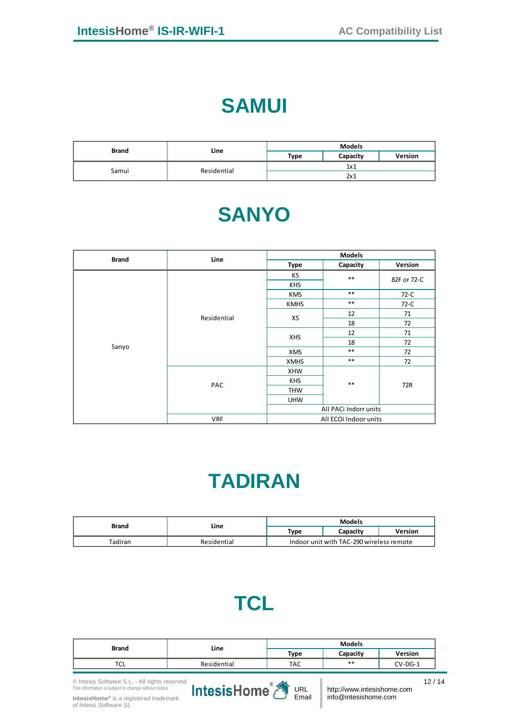#### **SAMUI**

<span id="page-12-1"></span><span id="page-12-0"></span>

| <b>Brand</b> | Line        | <b>Models</b> |          |                |
|--------------|-------------|---------------|----------|----------------|
|              |             | Type          | Capacity | <b>Version</b> |
|              | Residential | 1x1           |          |                |
| Samui        |             | 2x1           |          |                |

#### **SANYO**

| <b>Brand</b> | Line                  |                  | <b>Models</b>         |             |
|--------------|-----------------------|------------------|-----------------------|-------------|
|              |                       | Type             | Capacity              | Version     |
|              |                       | КS               | $***$                 | 82F or 72-C |
|              |                       | <b>KHS</b>       |                       |             |
|              |                       | <b>KMS</b>       | $***$                 | 72-C        |
|              |                       | <b>KMHS</b>      | $***$                 | 72-C        |
|              | Residential           |                  | 12                    | 71          |
|              |                       | XS<br><b>XHS</b> | 18                    | 72          |
|              |                       |                  | 12                    | 71          |
|              |                       |                  | 18                    | 72          |
| Sanyo        |                       | <b>XMS</b>       | $***$                 | 72          |
|              |                       | <b>XMHS</b>      | $***$                 | 72          |
|              |                       | <b>XHW</b>       |                       |             |
|              | PAC                   | <b>KHS</b>       | $***$                 | 72R         |
|              |                       | <b>THW</b>       |                       |             |
|              |                       | <b>UHW</b>       |                       |             |
|              | All PACi Indorr units |                  |                       |             |
|              | <b>VRF</b>            |                  | All ECOi Indoor units |             |

## **TADIRAN**

<span id="page-12-3"></span><span id="page-12-2"></span>

| Brand   | Line        | <b>Models</b>                            |          |         |
|---------|-------------|------------------------------------------|----------|---------|
|         |             | Type                                     | Capacitv | Version |
| Tadiran | Residential | Indoor unit with TAC-290 wireless remote |          |         |

## **TCL**

| <b>Brand</b> | Line        | <b>Models</b> |          |           |
|--------------|-------------|---------------|----------|-----------|
|              |             | Type          | Capacity | Version   |
| ᇅ            | Residential | TAC           | **       | $CV-DG-1$ |

© Intesis Software S.L. - All rights reserved This information is subject to change without notice

**IntesisHome®** *is a registered trademark of Intesis Software SL*



http://www.intesishome.com info@intesishome.com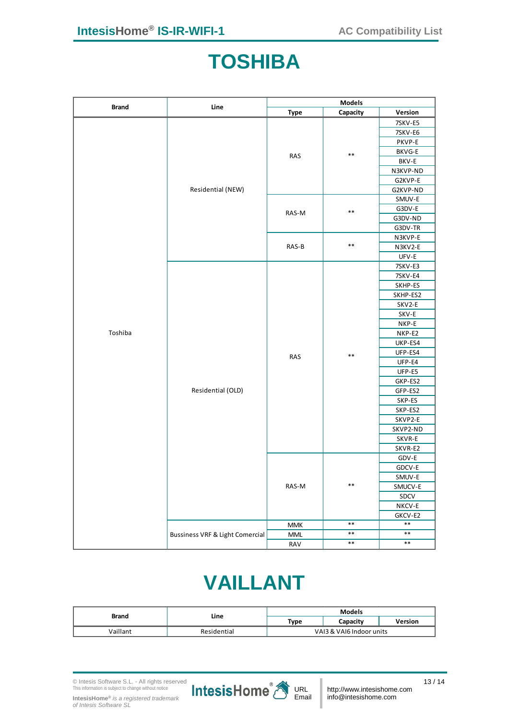#### **TOSHIBA**

<span id="page-13-0"></span>

| <b>Brand</b> | Line                                       | <b>Models</b>       |          |                    |
|--------------|--------------------------------------------|---------------------|----------|--------------------|
|              |                                            | <b>Type</b>         | Capacity | Version            |
|              |                                            |                     |          | 7SKV-E5            |
|              |                                            |                     |          | 7SKV-E6            |
|              |                                            |                     |          | PKVP-E             |
|              |                                            | <b>RAS</b>          | $***$    | BKVG-E             |
|              |                                            |                     |          | BKV-E              |
|              |                                            |                     |          | N3KVP-ND           |
|              |                                            |                     |          | G2KVP-E            |
|              | Residential (NEW)                          |                     |          | G2KVP-ND           |
|              |                                            |                     |          | SMUV-E             |
|              |                                            | $***$<br>RAS-M      |          | G3DV-E             |
|              |                                            |                     |          | G3DV-ND            |
|              |                                            |                     |          | G3DV-TR            |
|              |                                            | $***$               | N3KVP-E  |                    |
|              |                                            | RAS-B               |          | N3KV2-E            |
|              |                                            |                     |          | UFV-E              |
|              |                                            |                     | 7SKV-E3  |                    |
|              |                                            |                     |          | 7SKV-E4            |
|              |                                            |                     |          | SKHP-ES            |
|              |                                            |                     |          | SKHP-ES2           |
|              |                                            |                     |          | SKV2-E             |
|              |                                            |                     |          | SKV-E              |
|              |                                            | $***$<br><b>RAS</b> | NKP-E    |                    |
| Toshiba      |                                            |                     | NKP-E2   |                    |
|              |                                            |                     | UKP-ES4  |                    |
|              |                                            |                     |          | UFP-ES4            |
|              |                                            |                     |          | UFP-E4             |
|              |                                            |                     |          | UFP-E5             |
|              |                                            |                     |          | GKP-ES2            |
|              | Residential (OLD)                          |                     |          | GFP-ES2            |
|              |                                            |                     |          | SKP-ES             |
|              |                                            |                     |          | SKP-ES2            |
|              |                                            |                     |          | SKVP2-E            |
|              |                                            |                     |          | SKVP2-ND<br>SKVR-E |
|              |                                            |                     |          | SKVR-E2            |
|              |                                            |                     |          | GDV-E              |
|              |                                            |                     |          | GDCV-E             |
|              |                                            |                     |          | SMUV-E             |
|              |                                            | RAS-M               | $***$    | SMUCV-E            |
|              |                                            |                     |          | SDCV               |
|              |                                            |                     |          | NKCV-E             |
|              |                                            |                     |          | GKCV-E2            |
|              |                                            | <b>MMK</b>          | $***$    | $***$              |
|              | <b>Bussiness VRF &amp; Light Comercial</b> | <b>MML</b>          | $***$    | $***$              |
|              |                                            | RAV                 | $***$    | $\ast\ast$         |
|              |                                            |                     |          |                    |

## **VAILLANT**

<span id="page-13-1"></span>

| <b>Brand</b> | Line        | <b>Models</b>            |          |         |
|--------------|-------------|--------------------------|----------|---------|
|              |             | Type                     | Capacity | Version |
| Vaillant     | Residential | VAI3 & VAI6 Indoor units |          |         |